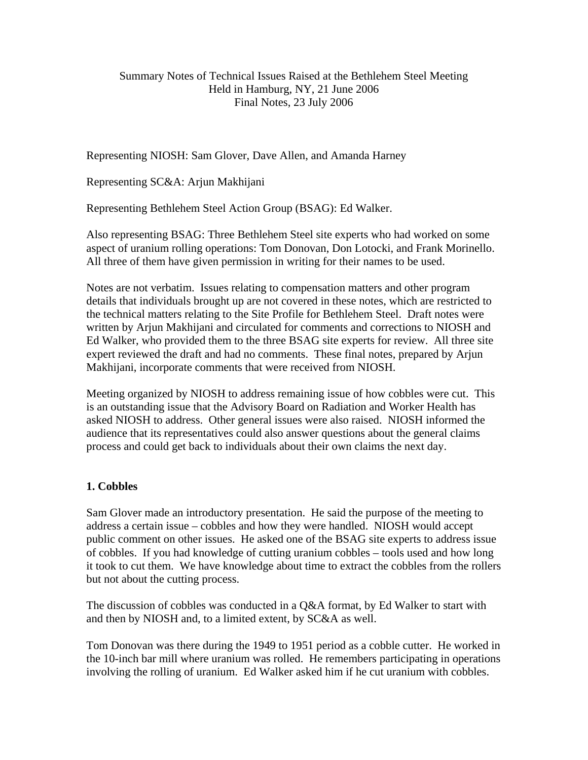## Summary Notes of Technical Issues Raised at the Bethlehem Steel Meeting Held in Hamburg, NY, 21 June 2006 Final Notes, 23 July 2006

Representing NIOSH: Sam Glover, Dave Allen, and Amanda Harney

Representing SC&A: Arjun Makhijani

Representing Bethlehem Steel Action Group (BSAG): Ed Walker.

Also representing BSAG: Three Bethlehem Steel site experts who had worked on some aspect of uranium rolling operations: Tom Donovan, Don Lotocki, and Frank Morinello. All three of them have given permission in writing for their names to be used.

Notes are not verbatim. Issues relating to compensation matters and other program details that individuals brought up are not covered in these notes, which are restricted to the technical matters relating to the Site Profile for Bethlehem Steel. Draft notes were written by Arjun Makhijani and circulated for comments and corrections to NIOSH and Ed Walker, who provided them to the three BSAG site experts for review. All three site expert reviewed the draft and had no comments. These final notes, prepared by Arjun Makhijani, incorporate comments that were received from NIOSH.

Meeting organized by NIOSH to address remaining issue of how cobbles were cut. This is an outstanding issue that the Advisory Board on Radiation and Worker Health has asked NIOSH to address. Other general issues were also raised. NIOSH informed the audience that its representatives could also answer questions about the general claims process and could get back to individuals about their own claims the next day.

# **1. Cobbles**

Sam Glover made an introductory presentation. He said the purpose of the meeting to address a certain issue – cobbles and how they were handled. NIOSH would accept public comment on other issues. He asked one of the BSAG site experts to address issue of cobbles. If you had knowledge of cutting uranium cobbles – tools used and how long it took to cut them. We have knowledge about time to extract the cobbles from the rollers but not about the cutting process.

The discussion of cobbles was conducted in a Q&A format, by Ed Walker to start with and then by NIOSH and, to a limited extent, by SC&A as well.

Tom Donovan was there during the 1949 to 1951 period as a cobble cutter. He worked in the 10-inch bar mill where uranium was rolled. He remembers participating in operations involving the rolling of uranium. Ed Walker asked him if he cut uranium with cobbles.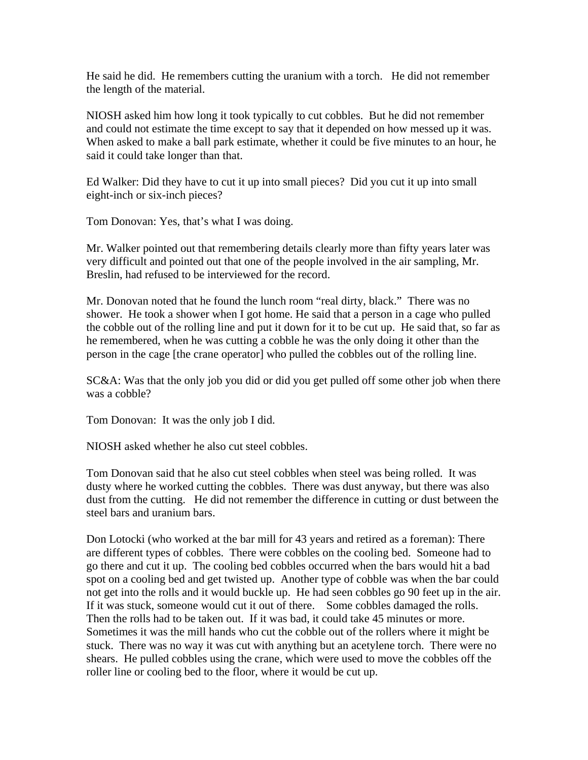He said he did. He remembers cutting the uranium with a torch. He did not remember the length of the material.

NIOSH asked him how long it took typically to cut cobbles. But he did not remember and could not estimate the time except to say that it depended on how messed up it was. When asked to make a ball park estimate, whether it could be five minutes to an hour, he said it could take longer than that.

Ed Walker: Did they have to cut it up into small pieces? Did you cut it up into small eight-inch or six-inch pieces?

Tom Donovan: Yes, that's what I was doing.

Mr. Walker pointed out that remembering details clearly more than fifty years later was very difficult and pointed out that one of the people involved in the air sampling, Mr. Breslin, had refused to be interviewed for the record.

Mr. Donovan noted that he found the lunch room "real dirty, black." There was no shower. He took a shower when I got home. He said that a person in a cage who pulled the cobble out of the rolling line and put it down for it to be cut up. He said that, so far as he remembered, when he was cutting a cobble he was the only doing it other than the person in the cage [the crane operator] who pulled the cobbles out of the rolling line.

SC&A: Was that the only job you did or did you get pulled off some other job when there was a cobble?

Tom Donovan: It was the only job I did.

NIOSH asked whether he also cut steel cobbles.

Tom Donovan said that he also cut steel cobbles when steel was being rolled. It was dusty where he worked cutting the cobbles. There was dust anyway, but there was also dust from the cutting. He did not remember the difference in cutting or dust between the steel bars and uranium bars.

Don Lotocki (who worked at the bar mill for 43 years and retired as a foreman): There are different types of cobbles. There were cobbles on the cooling bed. Someone had to go there and cut it up. The cooling bed cobbles occurred when the bars would hit a bad spot on a cooling bed and get twisted up. Another type of cobble was when the bar could not get into the rolls and it would buckle up. He had seen cobbles go 90 feet up in the air. If it was stuck, someone would cut it out of there. Some cobbles damaged the rolls. Then the rolls had to be taken out. If it was bad, it could take 45 minutes or more. Sometimes it was the mill hands who cut the cobble out of the rollers where it might be stuck. There was no way it was cut with anything but an acetylene torch. There were no shears. He pulled cobbles using the crane, which were used to move the cobbles off the roller line or cooling bed to the floor, where it would be cut up.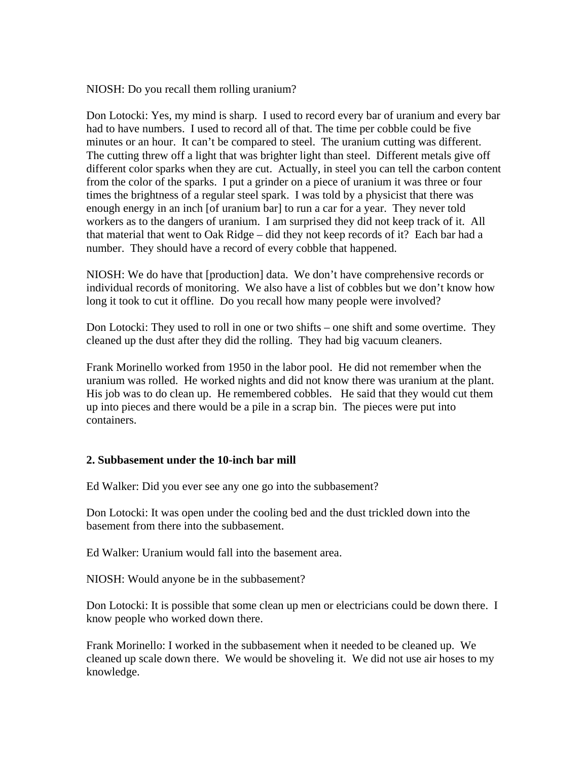NIOSH: Do you recall them rolling uranium?

Don Lotocki: Yes, my mind is sharp. I used to record every bar of uranium and every bar had to have numbers. I used to record all of that. The time per cobble could be five minutes or an hour. It can't be compared to steel. The uranium cutting was different. The cutting threw off a light that was brighter light than steel. Different metals give off different color sparks when they are cut. Actually, in steel you can tell the carbon content from the color of the sparks. I put a grinder on a piece of uranium it was three or four times the brightness of a regular steel spark. I was told by a physicist that there was enough energy in an inch [of uranium bar] to run a car for a year. They never told workers as to the dangers of uranium. I am surprised they did not keep track of it. All that material that went to Oak Ridge – did they not keep records of it? Each bar had a number. They should have a record of every cobble that happened.

NIOSH: We do have that [production] data. We don't have comprehensive records or individual records of monitoring. We also have a list of cobbles but we don't know how long it took to cut it offline. Do you recall how many people were involved?

Don Lotocki: They used to roll in one or two shifts – one shift and some overtime. They cleaned up the dust after they did the rolling. They had big vacuum cleaners.

Frank Morinello worked from 1950 in the labor pool. He did not remember when the uranium was rolled. He worked nights and did not know there was uranium at the plant. His job was to do clean up. He remembered cobbles. He said that they would cut them up into pieces and there would be a pile in a scrap bin. The pieces were put into containers.

### **2. Subbasement under the 10-inch bar mill**

Ed Walker: Did you ever see any one go into the subbasement?

Don Lotocki: It was open under the cooling bed and the dust trickled down into the basement from there into the subbasement.

Ed Walker: Uranium would fall into the basement area.

NIOSH: Would anyone be in the subbasement?

Don Lotocki: It is possible that some clean up men or electricians could be down there. I know people who worked down there.

Frank Morinello: I worked in the subbasement when it needed to be cleaned up. We cleaned up scale down there. We would be shoveling it. We did not use air hoses to my knowledge.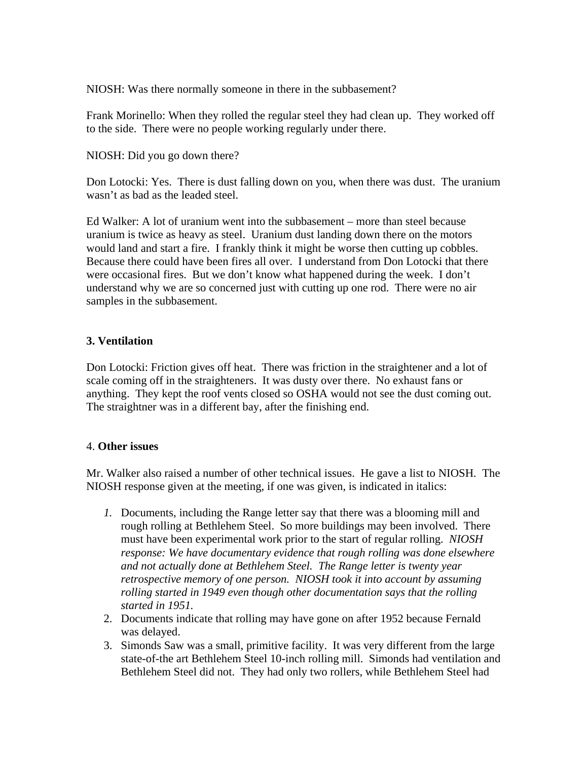NIOSH: Was there normally someone in there in the subbasement?

Frank Morinello: When they rolled the regular steel they had clean up. They worked off to the side. There were no people working regularly under there.

NIOSH: Did you go down there?

Don Lotocki: Yes. There is dust falling down on you, when there was dust. The uranium wasn't as bad as the leaded steel.

Ed Walker: A lot of uranium went into the subbasement – more than steel because uranium is twice as heavy as steel. Uranium dust landing down there on the motors would land and start a fire. I frankly think it might be worse then cutting up cobbles. Because there could have been fires all over. I understand from Don Lotocki that there were occasional fires. But we don't know what happened during the week. I don't understand why we are so concerned just with cutting up one rod. There were no air samples in the subbasement.

# **3. Ventilation**

Don Lotocki: Friction gives off heat. There was friction in the straightener and a lot of scale coming off in the straighteners. It was dusty over there. No exhaust fans or anything. They kept the roof vents closed so OSHA would not see the dust coming out. The straightner was in a different bay, after the finishing end.

# 4. **Other issues**

Mr. Walker also raised a number of other technical issues. He gave a list to NIOSH. The NIOSH response given at the meeting, if one was given, is indicated in italics:

- *1.* Documents, including the Range letter say that there was a blooming mill and rough rolling at Bethlehem Steel. So more buildings may been involved. There must have been experimental work prior to the start of regular rolling. *NIOSH response: We have documentary evidence that rough rolling was done elsewhere and not actually done at Bethlehem Steel. The Range letter is twenty year retrospective memory of one person. NIOSH took it into account by assuming rolling started in 1949 even though other documentation says that the rolling started in 1951.*
- 2. Documents indicate that rolling may have gone on after 1952 because Fernald was delayed.
- 3. Simonds Saw was a small, primitive facility. It was very different from the large state-of-the art Bethlehem Steel 10-inch rolling mill. Simonds had ventilation and Bethlehem Steel did not. They had only two rollers, while Bethlehem Steel had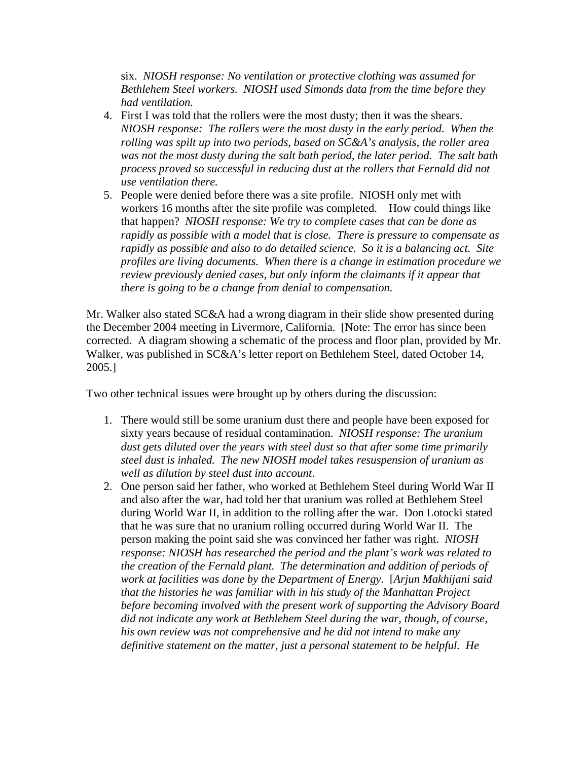six. *NIOSH response: No ventilation or protective clothing was assumed for Bethlehem Steel workers. NIOSH used Simonds data from the time before they had ventilation.* 

- 4. First I was told that the rollers were the most dusty; then it was the shears. *NIOSH response: The rollers were the most dusty in the early period. When the rolling was spilt up into two periods, based on SC&A's analysis, the roller area was not the most dusty during the salt bath period, the later period. The salt bath process proved so successful in reducing dust at the rollers that Fernald did not use ventilation there.*
- 5. People were denied before there was a site profile. NIOSH only met with workers 16 months after the site profile was completed. How could things like that happen? *NIOSH response: We try to complete cases that can be done as rapidly as possible with a model that is close. There is pressure to compensate as rapidly as possible and also to do detailed science. So it is a balancing act. Site profiles are living documents. When there is a change in estimation procedure we review previously denied cases, but only inform the claimants if it appear that there is going to be a change from denial to compensation.*

Mr. Walker also stated SC&A had a wrong diagram in their slide show presented during the December 2004 meeting in Livermore, California. [Note: The error has since been corrected. A diagram showing a schematic of the process and floor plan, provided by Mr. Walker, was published in SC&A's letter report on Bethlehem Steel, dated October 14, 2005.]

Two other technical issues were brought up by others during the discussion:

- 1. There would still be some uranium dust there and people have been exposed for sixty years because of residual contamination. *NIOSH response: The uranium dust gets diluted over the years with steel dust so that after some time primarily steel dust is inhaled. The new NIOSH model takes resuspension of uranium as well as dilution by steel dust into account*.
- 2. One person said her father, who worked at Bethlehem Steel during World War II and also after the war, had told her that uranium was rolled at Bethlehem Steel during World War II, in addition to the rolling after the war. Don Lotocki stated that he was sure that no uranium rolling occurred during World War II. The person making the point said she was convinced her father was right. *NIOSH response: NIOSH has researched the period and the plant's work was related to the creation of the Fernald plant. The determination and addition of periods of work at facilities was done by the Department of Energy.* [*Arjun Makhijani said that the histories he was familiar with in his study of the Manhattan Project before becoming involved with the present work of supporting the Advisory Board did not indicate any work at Bethlehem Steel during the war, though, of course, his own review was not comprehensive and he did not intend to make any definitive statement on the matter, just a personal statement to be helpful. He*